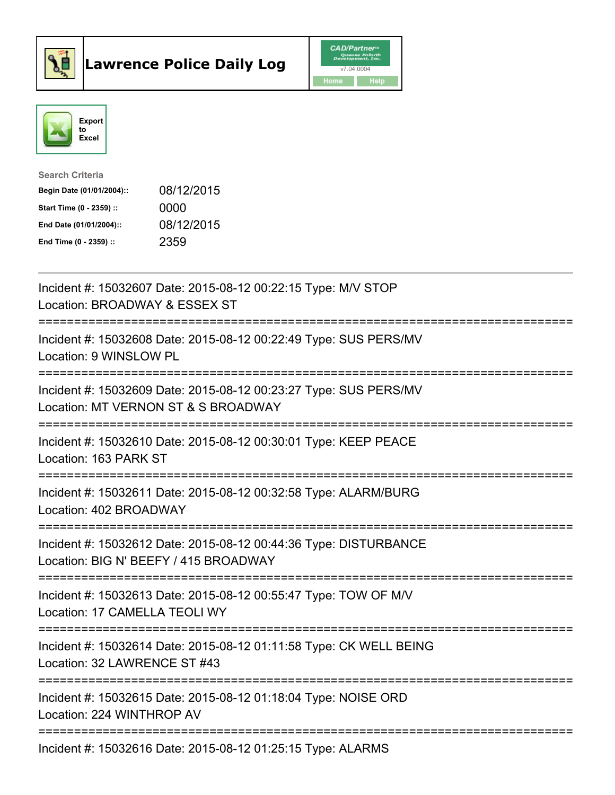



| <b>Search Criteria</b>    |            |
|---------------------------|------------|
| Begin Date (01/01/2004):: | 08/12/2015 |
| Start Time (0 - 2359) ::  | 0000       |
| End Date (01/01/2004)::   | 08/12/2015 |
| End Time $(0 - 2359)$ :   | 2359       |

| Incident #: 15032607 Date: 2015-08-12 00:22:15 Type: M/V STOP<br>Location: BROADWAY & ESSEX ST<br>------------                             |
|--------------------------------------------------------------------------------------------------------------------------------------------|
| Incident #: 15032608 Date: 2015-08-12 00:22:49 Type: SUS PERS/MV<br>Location: 9 WINSLOW PL                                                 |
| Incident #: 15032609 Date: 2015-08-12 00:23:27 Type: SUS PERS/MV<br>Location: MT VERNON ST & S BROADWAY                                    |
| Incident #: 15032610 Date: 2015-08-12 00:30:01 Type: KEEP PEACE<br>Location: 163 PARK ST                                                   |
| Incident #: 15032611 Date: 2015-08-12 00:32:58 Type: ALARM/BURG<br>Location: 402 BROADWAY                                                  |
| Incident #: 15032612 Date: 2015-08-12 00:44:36 Type: DISTURBANCE<br>Location: BIG N' BEEFY / 415 BROADWAY<br>============================= |
| Incident #: 15032613 Date: 2015-08-12 00:55:47 Type: TOW OF M/V<br>Location: 17 CAMELLA TEOLI WY<br>------------                           |
| Incident #: 15032614 Date: 2015-08-12 01:11:58 Type: CK WELL BEING<br>Location: 32 LAWRENCE ST #43                                         |
| Incident #: 15032615 Date: 2015-08-12 01:18:04 Type: NOISE ORD<br>Location: 224 WINTHROP AV                                                |
| Incident #: 15032616 Date: 2015-08-12 01:25:15 Type: ALARMS                                                                                |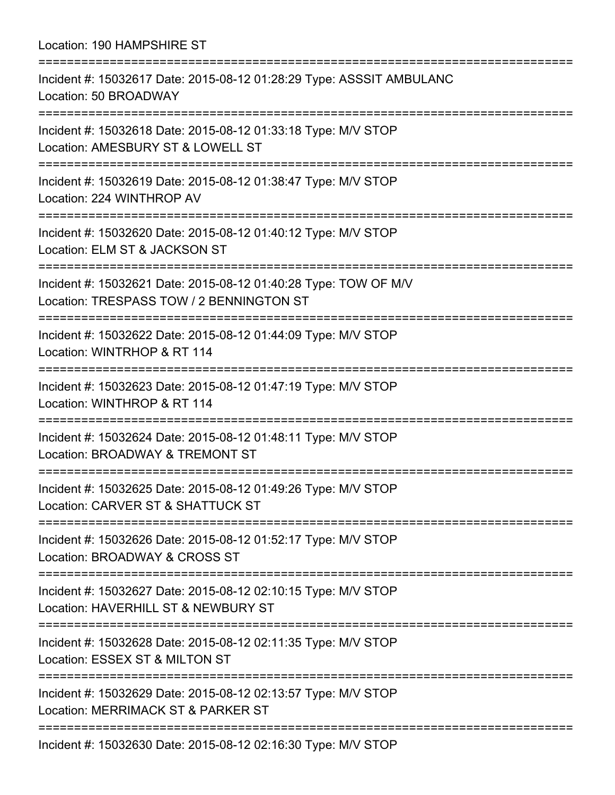Location: 190 HAMPSHIRE ST =========================================================================== Incident #: 15032617 Date: 2015-08-12 01:28:29 Type: ASSSIT AMBULANC Location: 50 BROADWAY =========================================================================== Incident #: 15032618 Date: 2015-08-12 01:33:18 Type: M/V STOP Location: AMESBURY ST & LOWELL ST =========================================================================== Incident #: 15032619 Date: 2015-08-12 01:38:47 Type: M/V STOP Location: 224 WINTHROP AV =========================================================================== Incident #: 15032620 Date: 2015-08-12 01:40:12 Type: M/V STOP Location: ELM ST & JACKSON ST =========================================================================== Incident #: 15032621 Date: 2015-08-12 01:40:28 Type: TOW OF M/V Location: TRESPASS TOW / 2 BENNINGTON ST =========================================================================== Incident #: 15032622 Date: 2015-08-12 01:44:09 Type: M/V STOP Location: WINTRHOP & RT 114 =========================================================================== Incident #: 15032623 Date: 2015-08-12 01:47:19 Type: M/V STOP Location: WINTHROP & RT 114 =========================================================================== Incident #: 15032624 Date: 2015-08-12 01:48:11 Type: M/V STOP Location: BROADWAY & TREMONT ST =========================================================================== Incident #: 15032625 Date: 2015-08-12 01:49:26 Type: M/V STOP Location: CARVER ST & SHATTUCK ST =========================================================================== Incident #: 15032626 Date: 2015-08-12 01:52:17 Type: M/V STOP Location: BROADWAY & CROSS ST =========================================================================== Incident #: 15032627 Date: 2015-08-12 02:10:15 Type: M/V STOP Location: HAVERHILL ST & NEWBURY ST =========================================================================== Incident #: 15032628 Date: 2015-08-12 02:11:35 Type: M/V STOP Location: ESSEX ST & MILTON ST =========================================================================== Incident #: 15032629 Date: 2015-08-12 02:13:57 Type: M/V STOP Location: MERRIMACK ST & PARKER ST =========================================================================== Incident #: 15032630 Date: 2015-08-12 02:16:30 Type: M/V STOP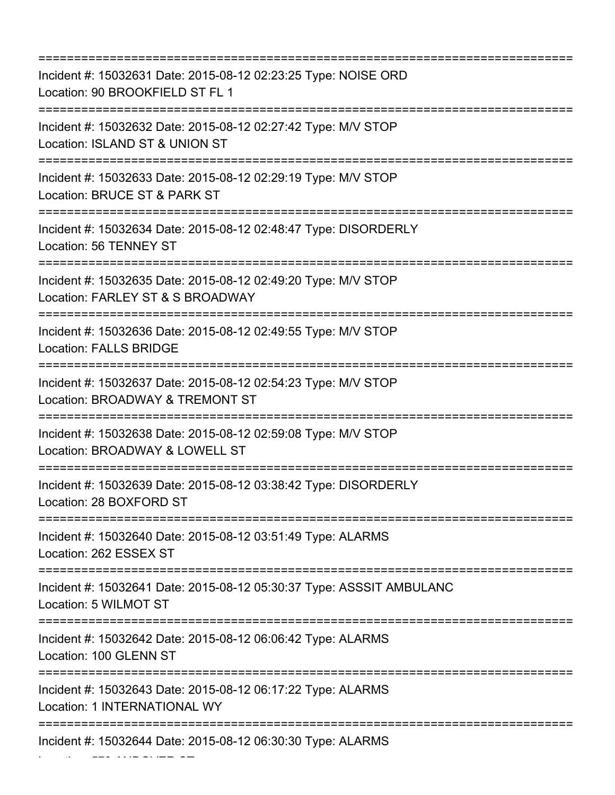| Incident #: 15032631 Date: 2015-08-12 02:23:25 Type: NOISE ORD<br>Location: 90 BROOKFIELD ST FL 1<br>:========================       |
|--------------------------------------------------------------------------------------------------------------------------------------|
| Incident #: 15032632 Date: 2015-08-12 02:27:42 Type: M/V STOP<br>Location: ISLAND ST & UNION ST<br>;===============================  |
| Incident #: 15032633 Date: 2015-08-12 02:29:19 Type: M/V STOP<br>Location: BRUCE ST & PARK ST                                        |
| Incident #: 15032634 Date: 2015-08-12 02:48:47 Type: DISORDERLY<br>Location: 56 TENNEY ST                                            |
| Incident #: 15032635 Date: 2015-08-12 02:49:20 Type: M/V STOP<br>Location: FARLEY ST & S BROADWAY                                    |
| Incident #: 15032636 Date: 2015-08-12 02:49:55 Type: M/V STOP<br><b>Location: FALLS BRIDGE</b><br>:================================= |
| Incident #: 15032637 Date: 2015-08-12 02:54:23 Type: M/V STOP<br>Location: BROADWAY & TREMONT ST                                     |
| Incident #: 15032638 Date: 2015-08-12 02:59:08 Type: M/V STOP<br>Location: BROADWAY & LOWELL ST<br>=========================         |
| Incident #: 15032639 Date: 2015-08-12 03:38:42 Type: DISORDERLY<br>Location: 28 BOXFORD ST                                           |
| Incident #: 15032640 Date: 2015-08-12 03:51:49 Type: ALARMS<br>Location: 262 ESSEX ST                                                |
| Incident #: 15032641 Date: 2015-08-12 05:30:37 Type: ASSSIT AMBULANC<br>Location: 5 WILMOT ST                                        |
| Incident #: 15032642 Date: 2015-08-12 06:06:42 Type: ALARMS<br>Location: 100 GLENN ST                                                |
| Incident #: 15032643 Date: 2015-08-12 06:17:22 Type: ALARMS<br>Location: 1 INTERNATIONAL WY                                          |
| Incident #: 15032644 Date: 2015-08-12 06:30:30 Type: ALARMS                                                                          |

Location: 579 ANDOVER ST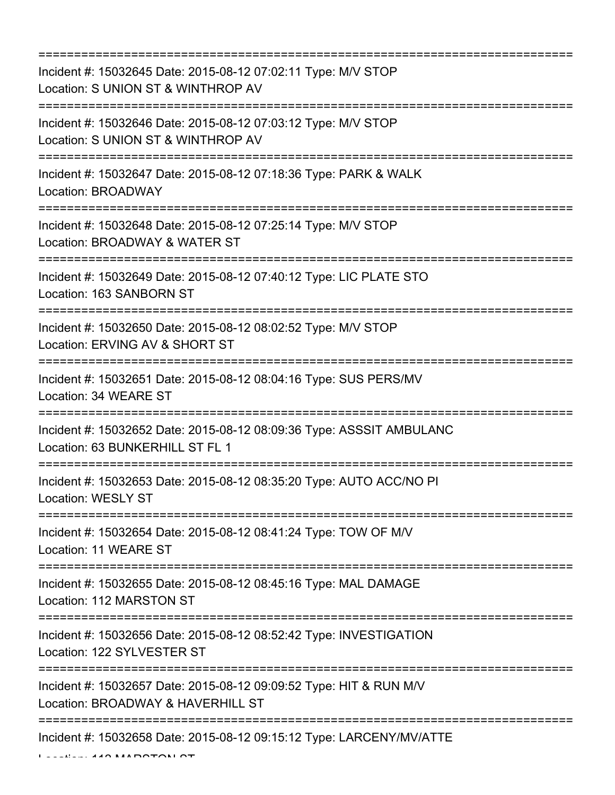=========================================================================== Incident #: 15032645 Date: 2015-08-12 07:02:11 Type: M/V STOP Location: S UNION ST & WINTHROP AV =========================================================================== Incident #: 15032646 Date: 2015-08-12 07:03:12 Type: M/V STOP Location: S UNION ST & WINTHROP AV =========================================================================== Incident #: 15032647 Date: 2015-08-12 07:18:36 Type: PARK & WALK Location: BROADWAY =========================================================================== Incident #: 15032648 Date: 2015-08-12 07:25:14 Type: M/V STOP Location: BROADWAY & WATER ST =========================================================================== Incident #: 15032649 Date: 2015-08-12 07:40:12 Type: LIC PLATE STO Location: 163 SANBORN ST =========================================================================== Incident #: 15032650 Date: 2015-08-12 08:02:52 Type: M/V STOP Location: ERVING AV & SHORT ST =========================================================================== Incident #: 15032651 Date: 2015-08-12 08:04:16 Type: SUS PERS/MV Location: 34 WEARE ST =========================================================================== Incident #: 15032652 Date: 2015-08-12 08:09:36 Type: ASSSIT AMBULANC Location: 63 BUNKERHILL ST FL 1 =========================================================================== Incident #: 15032653 Date: 2015-08-12 08:35:20 Type: AUTO ACC/NO PI Location: WESLY ST =========================================================================== Incident #: 15032654 Date: 2015-08-12 08:41:24 Type: TOW OF M/V Location: 11 WEARE ST =========================================================================== Incident #: 15032655 Date: 2015-08-12 08:45:16 Type: MAL DAMAGE Location: 112 MARSTON ST =========================================================================== Incident #: 15032656 Date: 2015-08-12 08:52:42 Type: INVESTIGATION Location: 122 SYLVESTER ST =========================================================================== Incident #: 15032657 Date: 2015-08-12 09:09:52 Type: HIT & RUN M/V Location: BROADWAY & HAVERHILL ST =========================================================================== Incident #: 15032658 Date: 2015-08-12 09:15:12 Type: LARCENY/MV/ATTE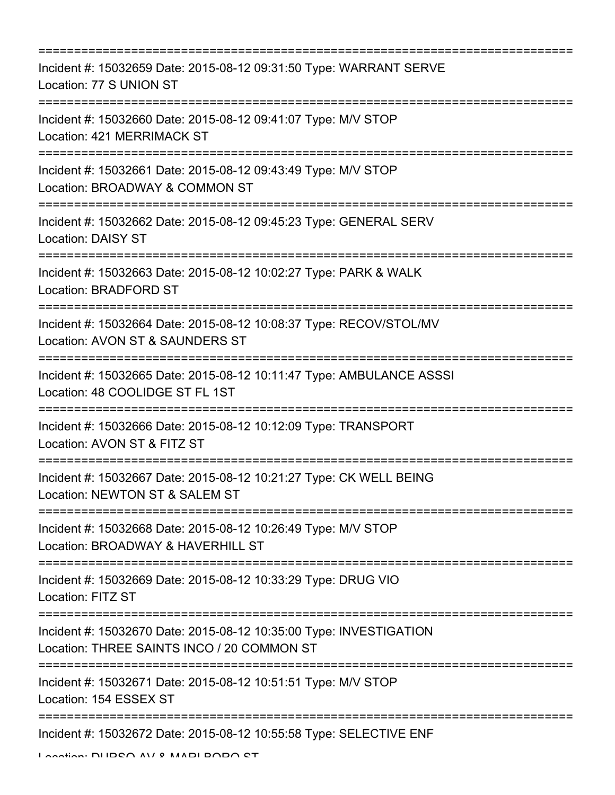| Incident #: 15032659 Date: 2015-08-12 09:31:50 Type: WARRANT SERVE<br>Location: 77 S UNION ST                                |
|------------------------------------------------------------------------------------------------------------------------------|
| Incident #: 15032660 Date: 2015-08-12 09:41:07 Type: M/V STOP<br>Location: 421 MERRIMACK ST<br>============================= |
| Incident #: 15032661 Date: 2015-08-12 09:43:49 Type: M/V STOP<br>Location: BROADWAY & COMMON ST                              |
| Incident #: 15032662 Date: 2015-08-12 09:45:23 Type: GENERAL SERV<br><b>Location: DAISY ST</b>                               |
| Incident #: 15032663 Date: 2015-08-12 10:02:27 Type: PARK & WALK<br><b>Location: BRADFORD ST</b>                             |
| Incident #: 15032664 Date: 2015-08-12 10:08:37 Type: RECOV/STOL/MV<br>Location: AVON ST & SAUNDERS ST                        |
| Incident #: 15032665 Date: 2015-08-12 10:11:47 Type: AMBULANCE ASSSI<br>Location: 48 COOLIDGE ST FL 1ST                      |
| Incident #: 15032666 Date: 2015-08-12 10:12:09 Type: TRANSPORT<br>Location: AVON ST & FITZ ST                                |
| Incident #: 15032667 Date: 2015-08-12 10:21:27 Type: CK WELL BEING<br>Location: NEWTON ST & SALEM ST                         |
| Incident #: 15032668 Date: 2015-08-12 10:26:49 Type: M/V STOP<br>Location: BROADWAY & HAVERHILL ST                           |
| Incident #: 15032669 Date: 2015-08-12 10:33:29 Type: DRUG VIO<br><b>Location: FITZ ST</b>                                    |
| Incident #: 15032670 Date: 2015-08-12 10:35:00 Type: INVESTIGATION<br>Location: THREE SAINTS INCO / 20 COMMON ST             |
| Incident #: 15032671 Date: 2015-08-12 10:51:51 Type: M/V STOP<br>Location: 154 ESSEX ST                                      |
| Incident #: 15032672 Date: 2015-08-12 10:55:58 Type: SELECTIVE ENF                                                           |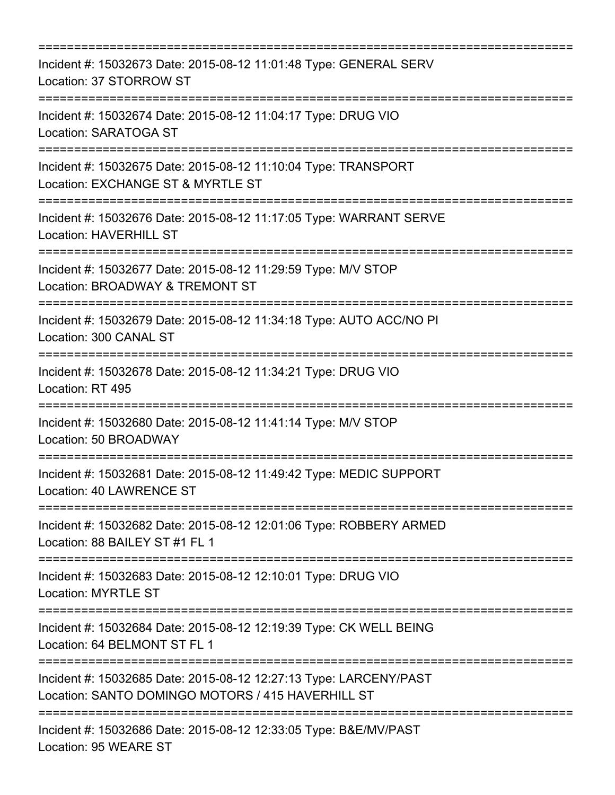| Incident #: 15032673 Date: 2015-08-12 11:01:48 Type: GENERAL SERV<br>Location: 37 STORROW ST                                                                             |
|--------------------------------------------------------------------------------------------------------------------------------------------------------------------------|
| Incident #: 15032674 Date: 2015-08-12 11:04:17 Type: DRUG VIO<br>Location: SARATOGA ST<br>;====================================<br>===================================== |
| Incident #: 15032675 Date: 2015-08-12 11:10:04 Type: TRANSPORT<br>Location: EXCHANGE ST & MYRTLE ST<br>====================                                              |
| Incident #: 15032676 Date: 2015-08-12 11:17:05 Type: WARRANT SERVE<br><b>Location: HAVERHILL ST</b><br>----------------------------------                                |
| Incident #: 15032677 Date: 2015-08-12 11:29:59 Type: M/V STOP<br>Location: BROADWAY & TREMONT ST                                                                         |
| Incident #: 15032679 Date: 2015-08-12 11:34:18 Type: AUTO ACC/NO PI<br>Location: 300 CANAL ST<br>---------------------------                                             |
| Incident #: 15032678 Date: 2015-08-12 11:34:21 Type: DRUG VIO<br>Location: RT 495<br>:==============================                                                     |
| Incident #: 15032680 Date: 2015-08-12 11:41:14 Type: M/V STOP<br>Location: 50 BROADWAY                                                                                   |
| Incident #: 15032681 Date: 2015-08-12 11:49:42 Type: MEDIC SUPPORT<br>Location: 40 LAWRENCE ST                                                                           |
| Incident #: 15032682 Date: 2015-08-12 12:01:06 Type: ROBBERY ARMED<br>Location: 88 BAILEY ST #1 FL 1                                                                     |
| Incident #: 15032683 Date: 2015-08-12 12:10:01 Type: DRUG VIO<br>Location: MYRTLE ST                                                                                     |
| Incident #: 15032684 Date: 2015-08-12 12:19:39 Type: CK WELL BEING<br>Location: 64 BELMONT ST FL 1                                                                       |
| Incident #: 15032685 Date: 2015-08-12 12:27:13 Type: LARCENY/PAST<br>Location: SANTO DOMINGO MOTORS / 415 HAVERHILL ST                                                   |
| Incident #: 15032686 Date: 2015-08-12 12:33:05 Type: B&E/MV/PAST<br>Location: 95 WEARE ST                                                                                |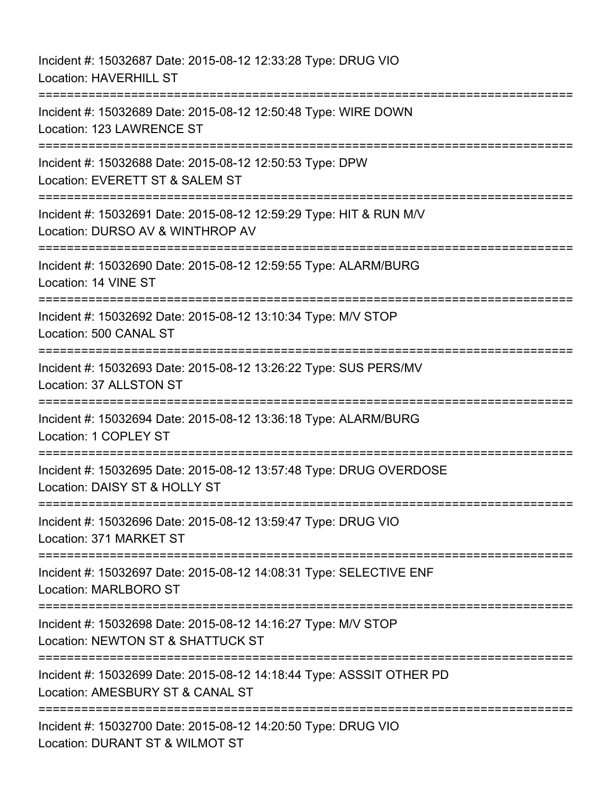Incident #: 15032687 Date: 2015-08-12 12:33:28 Type: DRUG VIO Location: HAVERHILL ST =========================================================================== Incident #: 15032689 Date: 2015-08-12 12:50:48 Type: WIRE DOWN Location: 123 LAWRENCE ST =========================================================================== Incident #: 15032688 Date: 2015-08-12 12:50:53 Type: DPW Location: EVERETT ST & SALEM ST =========================================================================== Incident #: 15032691 Date: 2015-08-12 12:59:29 Type: HIT & RUN M/V Location: DURSO AV & WINTHROP AV =========================================================================== Incident #: 15032690 Date: 2015-08-12 12:59:55 Type: ALARM/BURG Location: 14 VINE ST =========================================================================== Incident #: 15032692 Date: 2015-08-12 13:10:34 Type: M/V STOP Location: 500 CANAL ST =========================================================================== Incident #: 15032693 Date: 2015-08-12 13:26:22 Type: SUS PERS/MV Location: 37 ALLSTON ST =========================================================================== Incident #: 15032694 Date: 2015-08-12 13:36:18 Type: ALARM/BURG Location: 1 COPLEY ST =========================================================================== Incident #: 15032695 Date: 2015-08-12 13:57:48 Type: DRUG OVERDOSE Location: DAISY ST & HOLLY ST =========================================================================== Incident #: 15032696 Date: 2015-08-12 13:59:47 Type: DRUG VIO Location: 371 MARKET ST =========================================================================== Incident #: 15032697 Date: 2015-08-12 14:08:31 Type: SELECTIVE ENF Location: MARLBORO ST =========================================================================== Incident #: 15032698 Date: 2015-08-12 14:16:27 Type: M/V STOP Location: NEWTON ST & SHATTUCK ST =========================================================================== Incident #: 15032699 Date: 2015-08-12 14:18:44 Type: ASSSIT OTHER PD Location: AMESBURY ST & CANAL ST =========================================================================== Incident #: 15032700 Date: 2015-08-12 14:20:50 Type: DRUG VIO Location: DURANT ST & WILMOT ST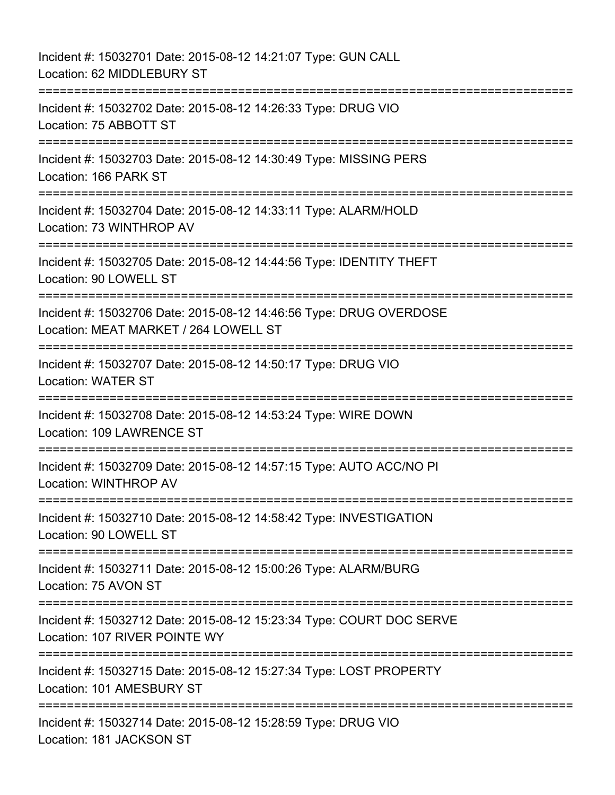Incident #: 15032701 Date: 2015-08-12 14:21:07 Type: GUN CALL Location: 62 MIDDLEBURY ST =========================================================================== Incident #: 15032702 Date: 2015-08-12 14:26:33 Type: DRUG VIO Location: 75 ABBOTT ST =========================================================================== Incident #: 15032703 Date: 2015-08-12 14:30:49 Type: MISSING PERS Location: 166 PARK ST =========================================================================== Incident #: 15032704 Date: 2015-08-12 14:33:11 Type: ALARM/HOLD Location: 73 WINTHROP AV =========================================================================== Incident #: 15032705 Date: 2015-08-12 14:44:56 Type: IDENTITY THEFT Location: 90 LOWELL ST =========================================================================== Incident #: 15032706 Date: 2015-08-12 14:46:56 Type: DRUG OVERDOSE Location: MEAT MARKET / 264 LOWELL ST =========================================================================== Incident #: 15032707 Date: 2015-08-12 14:50:17 Type: DRUG VIO Location: WATER ST =========================================================================== Incident #: 15032708 Date: 2015-08-12 14:53:24 Type: WIRE DOWN Location: 109 LAWRENCE ST =========================================================================== Incident #: 15032709 Date: 2015-08-12 14:57:15 Type: AUTO ACC/NO PI Location: WINTHROP AV =========================================================================== Incident #: 15032710 Date: 2015-08-12 14:58:42 Type: INVESTIGATION Location: 90 LOWELL ST =========================================================================== Incident #: 15032711 Date: 2015-08-12 15:00:26 Type: ALARM/BURG Location: 75 AVON ST =========================================================================== Incident #: 15032712 Date: 2015-08-12 15:23:34 Type: COURT DOC SERVE Location: 107 RIVER POINTE WY =========================================================================== Incident #: 15032715 Date: 2015-08-12 15:27:34 Type: LOST PROPERTY Location: 101 AMESBURY ST =========================================================================== Incident #: 15032714 Date: 2015-08-12 15:28:59 Type: DRUG VIO Location: 181 JACKSON ST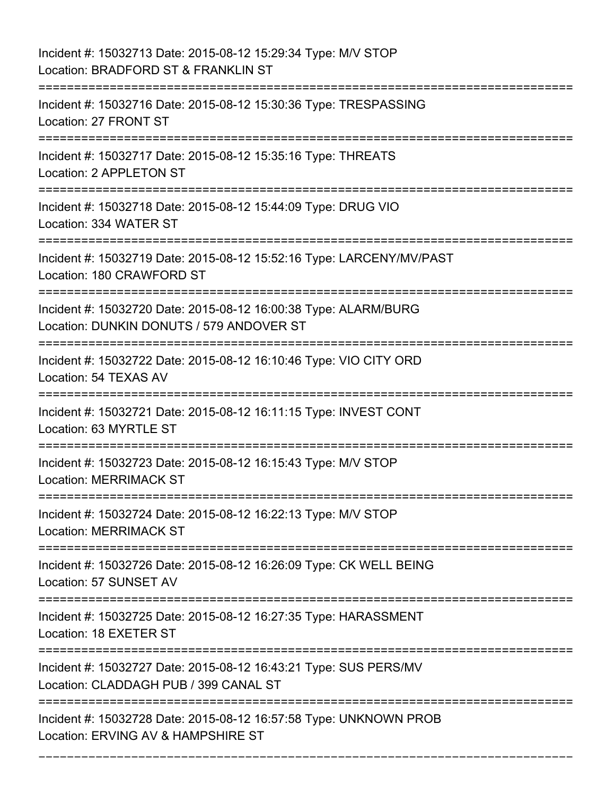| Incident #: 15032713 Date: 2015-08-12 15:29:34 Type: M/V STOP<br>Location: BRADFORD ST & FRANKLIN ST                                    |
|-----------------------------------------------------------------------------------------------------------------------------------------|
| ;=======================<br>Incident #: 15032716 Date: 2015-08-12 15:30:36 Type: TRESPASSING<br>Location: 27 FRONT ST                   |
| Incident #: 15032717 Date: 2015-08-12 15:35:16 Type: THREATS<br>Location: 2 APPLETON ST                                                 |
| Incident #: 15032718 Date: 2015-08-12 15:44:09 Type: DRUG VIO<br>Location: 334 WATER ST                                                 |
| Incident #: 15032719 Date: 2015-08-12 15:52:16 Type: LARCENY/MV/PAST<br>Location: 180 CRAWFORD ST                                       |
| Incident #: 15032720 Date: 2015-08-12 16:00:38 Type: ALARM/BURG<br>Location: DUNKIN DONUTS / 579 ANDOVER ST<br>======================== |
| Incident #: 15032722 Date: 2015-08-12 16:10:46 Type: VIO CITY ORD<br>Location: 54 TEXAS AV                                              |
| Incident #: 15032721 Date: 2015-08-12 16:11:15 Type: INVEST CONT<br>Location: 63 MYRTLE ST                                              |
| Incident #: 15032723 Date: 2015-08-12 16:15:43 Type: M/V STOP<br><b>Location: MERRIMACK ST</b>                                          |
| Incident #: 15032724 Date: 2015-08-12 16:22:13 Type: M/V STOP<br><b>Location: MERRIMACK ST</b>                                          |
| Incident #: 15032726 Date: 2015-08-12 16:26:09 Type: CK WELL BEING<br>Location: 57 SUNSET AV                                            |
| Incident #: 15032725 Date: 2015-08-12 16:27:35 Type: HARASSMENT<br>Location: 18 EXETER ST                                               |
| Incident #: 15032727 Date: 2015-08-12 16:43:21 Type: SUS PERS/MV<br>Location: CLADDAGH PUB / 399 CANAL ST                               |
| Incident #: 15032728 Date: 2015-08-12 16:57:58 Type: UNKNOWN PROB<br>Location: ERVING AV & HAMPSHIRE ST                                 |

===========================================================================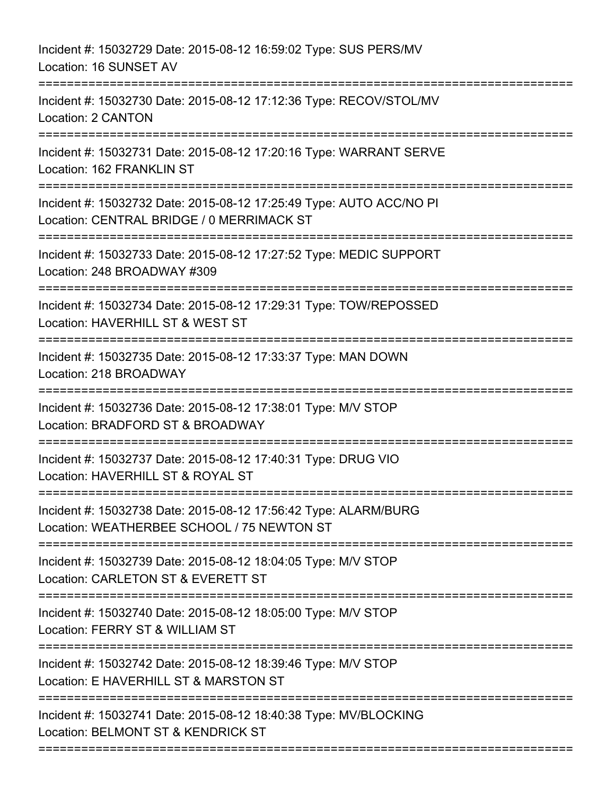Incident #: 15032729 Date: 2015-08-12 16:59:02 Type: SUS PERS/MV Location: 16 SUNSET AV =========================================================================== Incident #: 15032730 Date: 2015-08-12 17:12:36 Type: RECOV/STOL/MV Location: 2 CANTON =========================================================================== Incident #: 15032731 Date: 2015-08-12 17:20:16 Type: WARRANT SERVE Location: 162 FRANKLIN ST =========================================================================== Incident #: 15032732 Date: 2015-08-12 17:25:49 Type: AUTO ACC/NO PI Location: CENTRAL BRIDGE / 0 MERRIMACK ST =========================================================================== Incident #: 15032733 Date: 2015-08-12 17:27:52 Type: MEDIC SUPPORT Location: 248 BROADWAY #309 =========================================================================== Incident #: 15032734 Date: 2015-08-12 17:29:31 Type: TOW/REPOSSED Location: HAVERHILL ST & WEST ST =========================================================================== Incident #: 15032735 Date: 2015-08-12 17:33:37 Type: MAN DOWN Location: 218 BROADWAY =========================================================================== Incident #: 15032736 Date: 2015-08-12 17:38:01 Type: M/V STOP Location: BRADFORD ST & BROADWAY =========================================================================== Incident #: 15032737 Date: 2015-08-12 17:40:31 Type: DRUG VIO Location: HAVERHILL ST & ROYAL ST =========================================================================== Incident #: 15032738 Date: 2015-08-12 17:56:42 Type: ALARM/BURG Location: WEATHERBEE SCHOOL / 75 NEWTON ST =========================================================================== Incident #: 15032739 Date: 2015-08-12 18:04:05 Type: M/V STOP Location: CARLETON ST & EVERETT ST =========================================================================== Incident #: 15032740 Date: 2015-08-12 18:05:00 Type: M/V STOP Location: FERRY ST & WILLIAM ST =========================================================================== Incident #: 15032742 Date: 2015-08-12 18:39:46 Type: M/V STOP Location: E HAVERHILL ST & MARSTON ST =========================================================================== Incident #: 15032741 Date: 2015-08-12 18:40:38 Type: MV/BLOCKING Location: BELMONT ST & KENDRICK ST ===========================================================================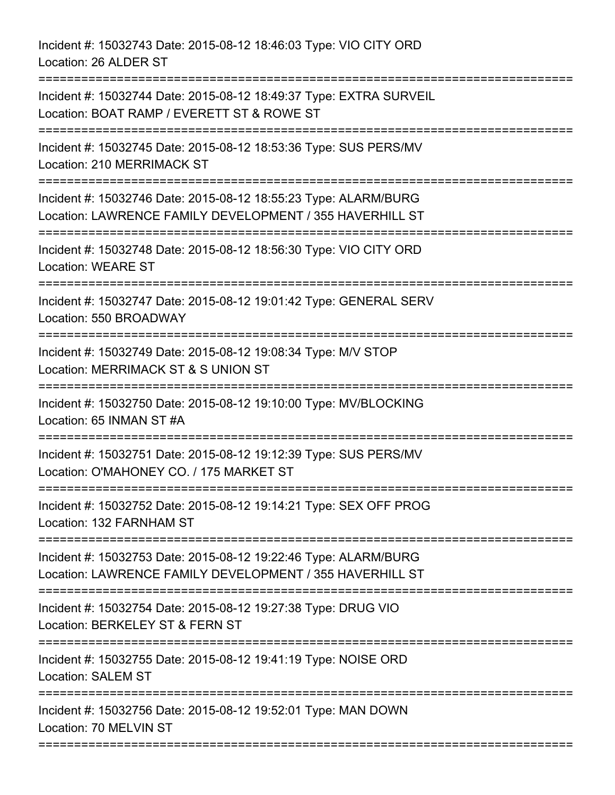Incident #: 15032743 Date: 2015-08-12 18:46:03 Type: VIO CITY ORD Location: 26 ALDER ST

=========================================================================== Incident #: 15032744 Date: 2015-08-12 18:49:37 Type: EXTRA SURVEIL Location: BOAT RAMP / EVERETT ST & ROWE ST =========================================================================== Incident #: 15032745 Date: 2015-08-12 18:53:36 Type: SUS PERS/MV Location: 210 MERRIMACK ST =========================================================================== Incident #: 15032746 Date: 2015-08-12 18:55:23 Type: ALARM/BURG Location: LAWRENCE FAMILY DEVELOPMENT / 355 HAVERHILL ST =========================================================================== Incident #: 15032748 Date: 2015-08-12 18:56:30 Type: VIO CITY ORD Location: WEARE ST =========================================================================== Incident #: 15032747 Date: 2015-08-12 19:01:42 Type: GENERAL SERV Location: 550 BROADWAY =========================================================================== Incident #: 15032749 Date: 2015-08-12 19:08:34 Type: M/V STOP Location: MERRIMACK ST & S UNION ST =========================================================================== Incident #: 15032750 Date: 2015-08-12 19:10:00 Type: MV/BLOCKING Location: 65 INMAN ST #A =========================================================================== Incident #: 15032751 Date: 2015-08-12 19:12:39 Type: SUS PERS/MV Location: O'MAHONEY CO. / 175 MARKET ST =========================================================================== Incident #: 15032752 Date: 2015-08-12 19:14:21 Type: SEX OFF PROG Location: 132 FARNHAM ST =========================================================================== Incident #: 15032753 Date: 2015-08-12 19:22:46 Type: ALARM/BURG Location: LAWRENCE FAMILY DEVELOPMENT / 355 HAVERHILL ST =========================================================================== Incident #: 15032754 Date: 2015-08-12 19:27:38 Type: DRUG VIO Location: BERKELEY ST & FERN ST =========================================================================== Incident #: 15032755 Date: 2015-08-12 19:41:19 Type: NOISE ORD Location: SALEM ST =========================================================================== Incident #: 15032756 Date: 2015-08-12 19:52:01 Type: MAN DOWN Location: 70 MELVIN ST ===========================================================================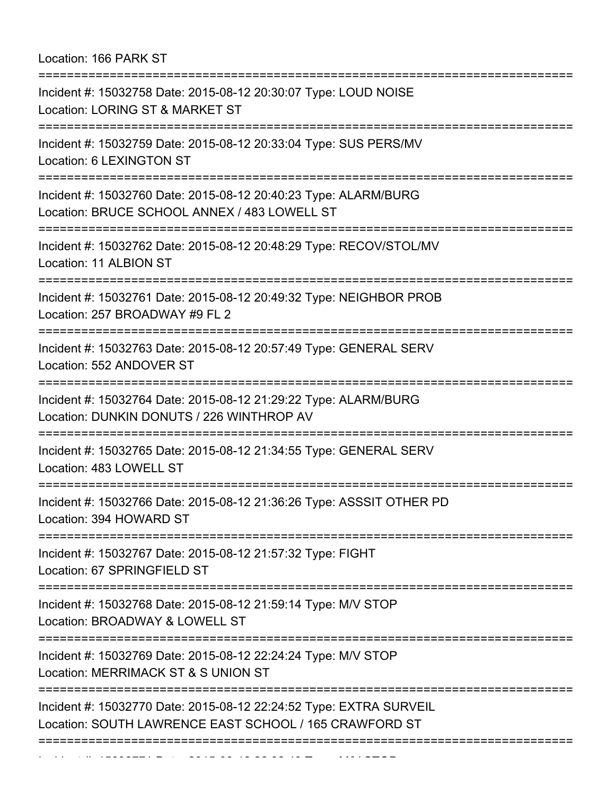Location: 166 PARK ST

| =======================<br>Incident #: 15032758 Date: 2015-08-12 20:30:07 Type: LOUD NOISE<br>Location: LORING ST & MARKET ST |
|-------------------------------------------------------------------------------------------------------------------------------|
| Incident #: 15032759 Date: 2015-08-12 20:33:04 Type: SUS PERS/MV<br>Location: 6 LEXINGTON ST                                  |
| Incident #: 15032760 Date: 2015-08-12 20:40:23 Type: ALARM/BURG<br>Location: BRUCE SCHOOL ANNEX / 483 LOWELL ST               |
| Incident #: 15032762 Date: 2015-08-12 20:48:29 Type: RECOV/STOL/MV<br>Location: 11 ALBION ST                                  |
| Incident #: 15032761 Date: 2015-08-12 20:49:32 Type: NEIGHBOR PROB<br>Location: 257 BROADWAY #9 FL 2                          |
| :======================<br>Incident #: 15032763 Date: 2015-08-12 20:57:49 Type: GENERAL SERV<br>Location: 552 ANDOVER ST      |
| Incident #: 15032764 Date: 2015-08-12 21:29:22 Type: ALARM/BURG<br>Location: DUNKIN DONUTS / 226 WINTHROP AV                  |
| Incident #: 15032765 Date: 2015-08-12 21:34:55 Type: GENERAL SERV<br>Location: 483 LOWELL ST                                  |
| Incident #: 15032766 Date: 2015-08-12 21:36:26 Type: ASSSIT OTHER PD<br>Location: 394 HOWARD ST                               |
| Incident #: 15032767 Date: 2015-08-12 21:57:32 Type: FIGHT<br>Location: 67 SPRINGFIELD ST                                     |
| Incident #: 15032768 Date: 2015-08-12 21:59:14 Type: M/V STOP<br>Location: BROADWAY & LOWELL ST                               |
| Incident #: 15032769 Date: 2015-08-12 22:24:24 Type: M/V STOP<br>Location: MERRIMACK ST & S UNION ST                          |
| Incident #: 15032770 Date: 2015-08-12 22:24:52 Type: EXTRA SURVEIL<br>Location: SOUTH LAWRENCE EAST SCHOOL / 165 CRAWFORD ST  |
|                                                                                                                               |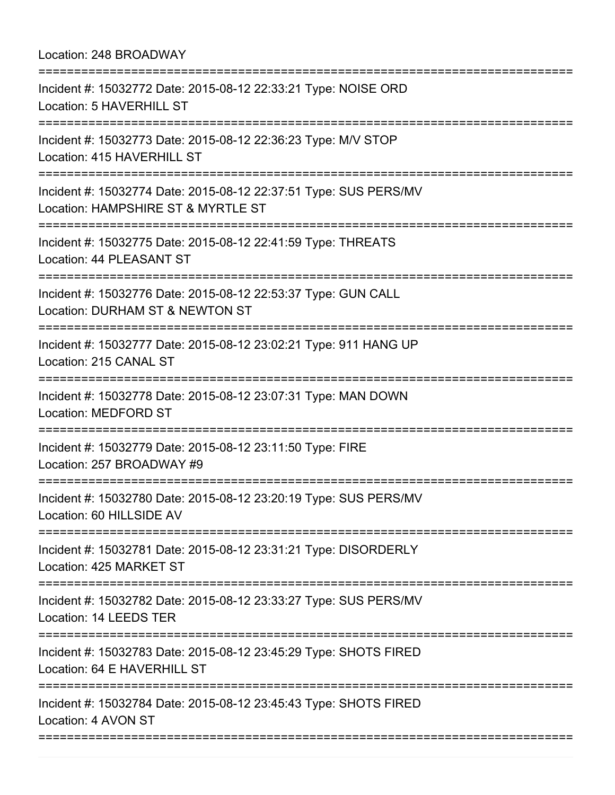## Location: 248 BROADWAY =========================================================================== Incident #: 15032772 Date: 2015-08-12 22:33:21 Type: NOISE ORD Location: 5 HAVERHILL ST =========================================================================== Incident #: 15032773 Date: 2015-08-12 22:36:23 Type: M/V STOP Location: 415 HAVERHILL ST =========================================================================== Incident #: 15032774 Date: 2015-08-12 22:37:51 Type: SUS PERS/MV Location: HAMPSHIRE ST & MYRTLE ST =========================================================================== Incident #: 15032775 Date: 2015-08-12 22:41:59 Type: THREATS Location: 44 PLEASANT ST =========================================================================== Incident #: 15032776 Date: 2015-08-12 22:53:37 Type: GUN CALL Location: DURHAM ST & NEWTON ST =========================================================================== Incident #: 15032777 Date: 2015-08-12 23:02:21 Type: 911 HANG UP Location: 215 CANAL ST =========================================================================== Incident #: 15032778 Date: 2015-08-12 23:07:31 Type: MAN DOWN Location: MEDFORD ST =========================================================================== Incident #: 15032779 Date: 2015-08-12 23:11:50 Type: FIRE Location: 257 BROADWAY #9 =========================================================================== Incident #: 15032780 Date: 2015-08-12 23:20:19 Type: SUS PERS/MV Location: 60 HILLSIDE AV =========================================================================== Incident #: 15032781 Date: 2015-08-12 23:31:21 Type: DISORDERLY Location: 425 MARKET ST =========================================================================== Incident #: 15032782 Date: 2015-08-12 23:33:27 Type: SUS PERS/MV Location: 14 LEEDS TER =========================================================================== Incident #: 15032783 Date: 2015-08-12 23:45:29 Type: SHOTS FIRED Location: 64 E HAVERHILL ST =========================================================================== Incident #: 15032784 Date: 2015-08-12 23:45:43 Type: SHOTS FIRED Location: 4 AVON ST ===========================================================================